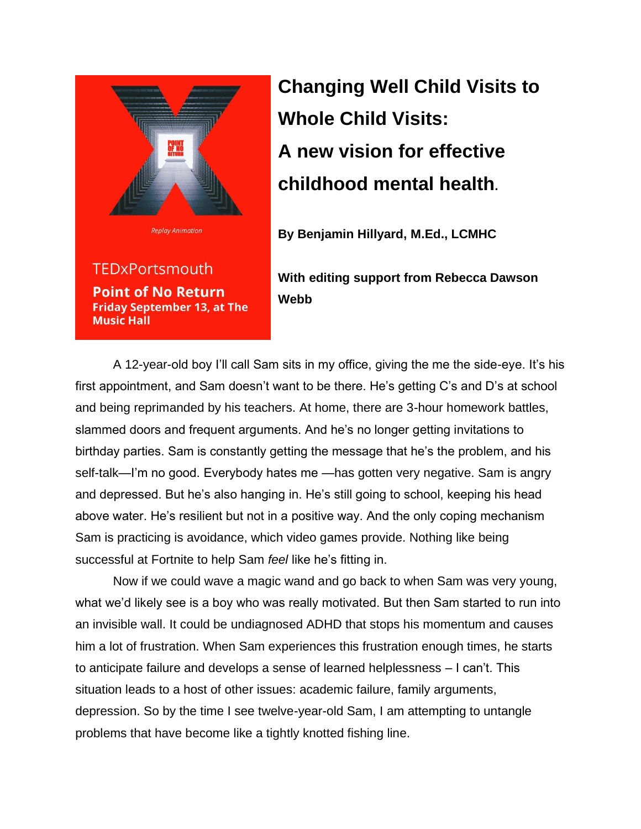

**TEDxPortsmouth Point of No Return Friday September 13, at The Music Hall** 

## **Changing Well Child Visits to Whole Child Visits: A new vision for effective childhood mental health.**

**By Benjamin Hillyard, M.Ed., LCMHC**

**With editing support from Rebecca Dawson Webb**

A 12-year-old boy I'll call Sam sits in my office, giving the me the side-eye. It's his first appointment, and Sam doesn't want to be there. He's getting C's and D's at school and being reprimanded by his teachers. At home, there are 3-hour homework battles, slammed doors and frequent arguments. And he's no longer getting invitations to birthday parties. Sam is constantly getting the message that he's the problem, and his self-talk—I'm no good. Everybody hates me —has gotten very negative. Sam is angry and depressed. But he's also hanging in. He's still going to school, keeping his head above water. He's resilient but not in a positive way. And the only coping mechanism Sam is practicing is avoidance, which video games provide. Nothing like being successful at Fortnite to help Sam *feel* like he's fitting in.

Now if we could wave a magic wand and go back to when Sam was very young, what we'd likely see is a boy who was really motivated. But then Sam started to run into an invisible wall. It could be undiagnosed ADHD that stops his momentum and causes him a lot of frustration. When Sam experiences this frustration enough times, he starts to anticipate failure and develops a sense of learned helplessness – I can't. This situation leads to a host of other issues: academic failure, family arguments, depression. So by the time I see twelve-year-old Sam, I am attempting to untangle problems that have become like a tightly knotted fishing line.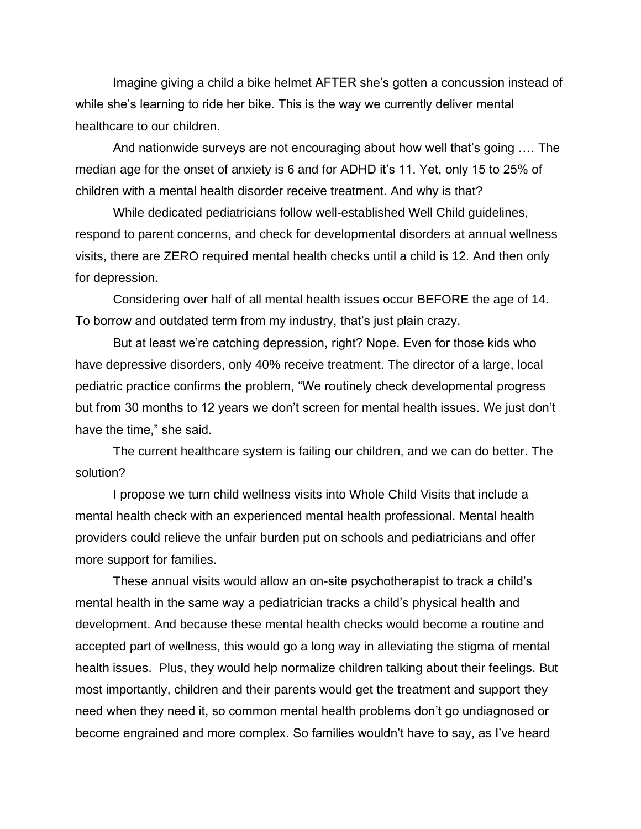Imagine giving a child a bike helmet AFTER she's gotten a concussion instead of while she's learning to ride her bike. This is the way we currently deliver mental healthcare to our children.

And nationwide surveys are not encouraging about how well that's going …. The median age for the onset of anxiety is 6 and for ADHD it's 11. Yet, only 15 to 25% of children with a mental health disorder receive treatment. And why is that?

While dedicated pediatricians follow well-established Well Child guidelines, respond to parent concerns, and check for developmental disorders at annual wellness visits, there are ZERO required mental health checks until a child is 12. And then only for depression.

Considering over half of all mental health issues occur BEFORE the age of 14. To borrow and outdated term from my industry, that's just plain crazy.

But at least we're catching depression, right? Nope. Even for those kids who have depressive disorders, only 40% receive treatment. The director of a large, local pediatric practice confirms the problem, "We routinely check developmental progress but from 30 months to 12 years we don't screen for mental health issues. We just don't have the time," she said.

The current healthcare system is failing our children, and we can do better. The solution?

I propose we turn child wellness visits into Whole Child Visits that include a mental health check with an experienced mental health professional. Mental health providers could relieve the unfair burden put on schools and pediatricians and offer more support for families.

These annual visits would allow an on-site psychotherapist to track a child's mental health in the same way a pediatrician tracks a child's physical health and development. And because these mental health checks would become a routine and accepted part of wellness, this would go a long way in alleviating the stigma of mental health issues. Plus, they would help normalize children talking about their feelings. But most importantly, children and their parents would get the treatment and support they need when they need it, so common mental health problems don't go undiagnosed or become engrained and more complex. So families wouldn't have to say, as I've heard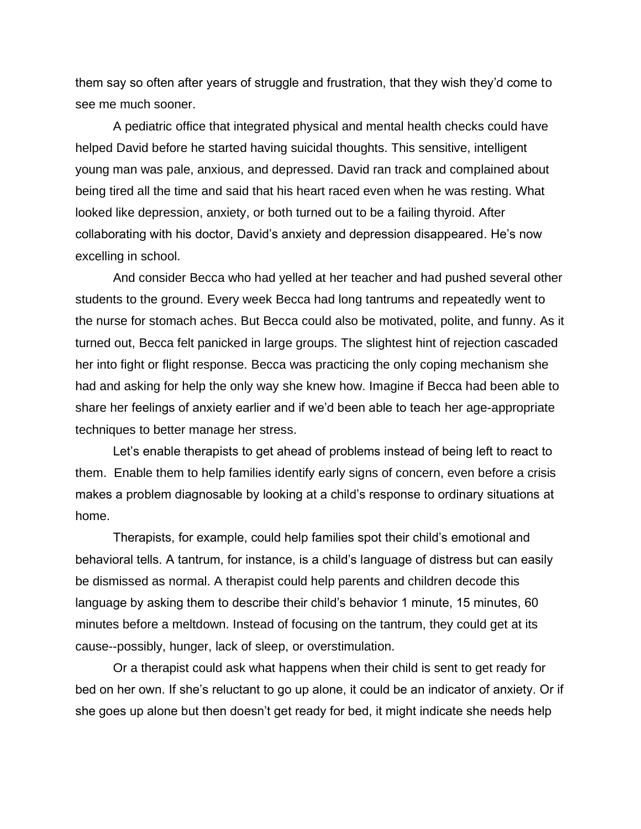them say so often after years of struggle and frustration, that they wish they'd come to see me much sooner.

A pediatric office that integrated physical and mental health checks could have helped David before he started having suicidal thoughts. This sensitive, intelligent young man was pale, anxious, and depressed. David ran track and complained about being tired all the time and said that his heart raced even when he was resting. What looked like depression, anxiety, or both turned out to be a failing thyroid. After collaborating with his doctor, David's anxiety and depression disappeared. He's now excelling in school.

And consider Becca who had yelled at her teacher and had pushed several other students to the ground. Every week Becca had long tantrums and repeatedly went to the nurse for stomach aches. But Becca could also be motivated, polite, and funny. As it turned out, Becca felt panicked in large groups. The slightest hint of rejection cascaded her into fight or flight response. Becca was practicing the only coping mechanism she had and asking for help the only way she knew how. Imagine if Becca had been able to share her feelings of anxiety earlier and if we'd been able to teach her age-appropriate techniques to better manage her stress.

Let's enable therapists to get ahead of problems instead of being left to react to them. Enable them to help families identify early signs of concern, even before a crisis makes a problem diagnosable by looking at a child's response to ordinary situations at home.

Therapists, for example, could help families spot their child's emotional and behavioral tells. A tantrum, for instance, is a child's language of distress but can easily be dismissed as normal. A therapist could help parents and children decode this language by asking them to describe their child's behavior 1 minute, 15 minutes, 60 minutes before a meltdown. Instead of focusing on the tantrum, they could get at its cause--possibly, hunger, lack of sleep, or overstimulation.

Or a therapist could ask what happens when their child is sent to get ready for bed on her own. If she's reluctant to go up alone, it could be an indicator of anxiety. Or if she goes up alone but then doesn't get ready for bed, it might indicate she needs help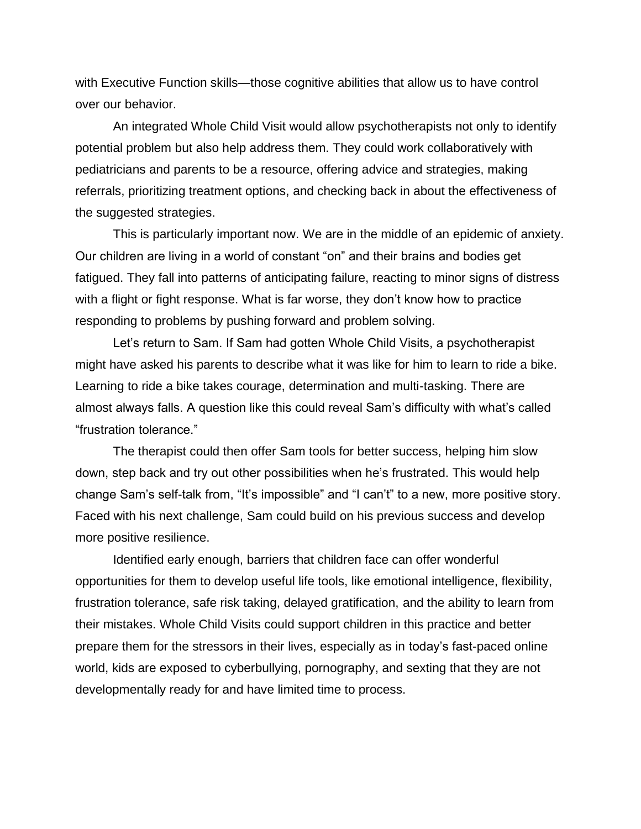with Executive Function skills—those cognitive abilities that allow us to have control over our behavior.

An integrated Whole Child Visit would allow psychotherapists not only to identify potential problem but also help address them. They could work collaboratively with pediatricians and parents to be a resource, offering advice and strategies, making referrals, prioritizing treatment options, and checking back in about the effectiveness of the suggested strategies.

This is particularly important now. We are in the middle of an epidemic of anxiety. Our children are living in a world of constant "on" and their brains and bodies get fatigued. They fall into patterns of anticipating failure, reacting to minor signs of distress with a flight or fight response. What is far worse, they don't know how to practice responding to problems by pushing forward and problem solving.

Let's return to Sam. If Sam had gotten Whole Child Visits, a psychotherapist might have asked his parents to describe what it was like for him to learn to ride a bike. Learning to ride a bike takes courage, determination and multi-tasking. There are almost always falls. A question like this could reveal Sam's difficulty with what's called "frustration tolerance."

The therapist could then offer Sam tools for better success, helping him slow down, step back and try out other possibilities when he's frustrated. This would help change Sam's self-talk from, "It's impossible" and "I can't" to a new, more positive story. Faced with his next challenge, Sam could build on his previous success and develop more positive resilience.

Identified early enough, barriers that children face can offer wonderful opportunities for them to develop useful life tools, like emotional intelligence, flexibility, frustration tolerance, safe risk taking, delayed gratification, and the ability to learn from their mistakes. Whole Child Visits could support children in this practice and better prepare them for the stressors in their lives, especially as in today's fast-paced online world, kids are exposed to cyberbullying, pornography, and sexting that they are not developmentally ready for and have limited time to process.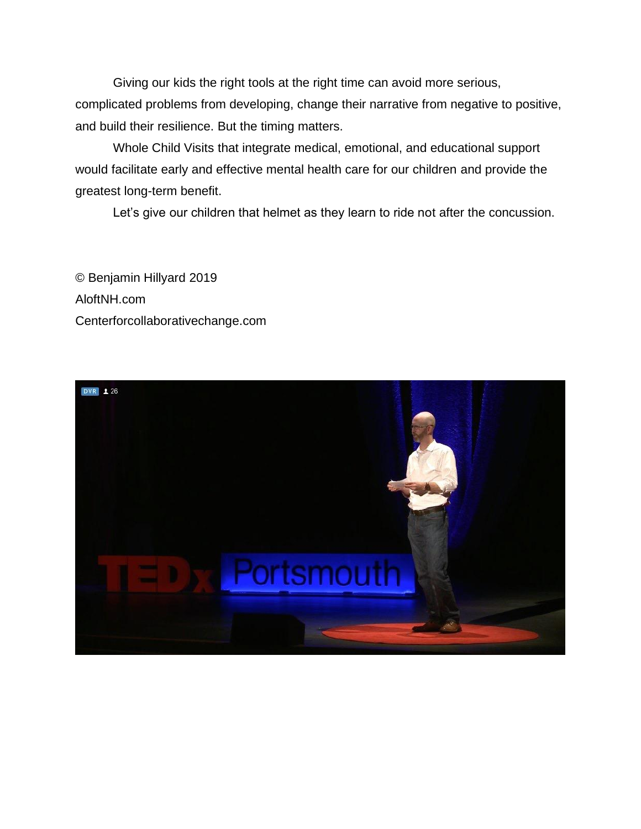Giving our kids the right tools at the right time can avoid more serious, complicated problems from developing, change their narrative from negative to positive, and build their resilience. But the timing matters.

Whole Child Visits that integrate medical, emotional, and educational support would facilitate early and effective mental health care for our children and provide the greatest long-term benefit.

Let's give our children that helmet as they learn to ride not after the concussion.

© Benjamin Hillyard 2019 AloftNH.com Centerforcollaborativechange.com